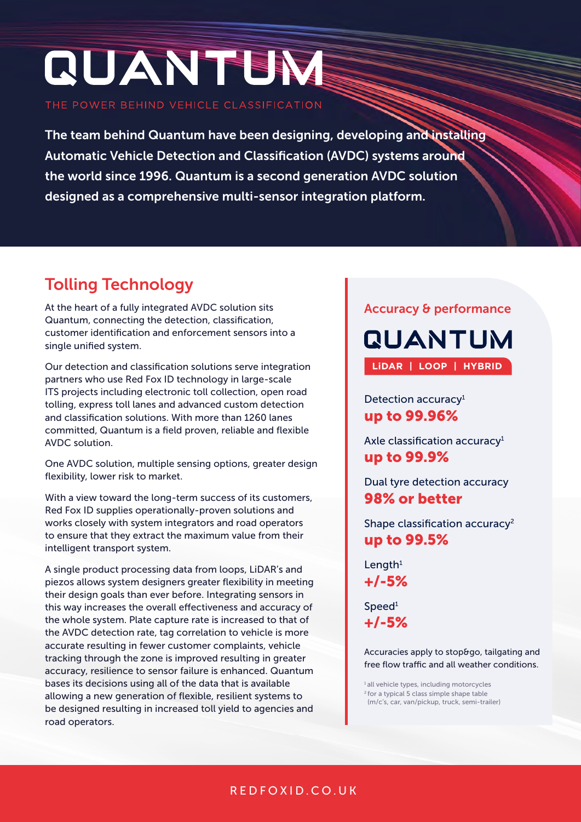# **QUANTEN**

THE POWER BEHIND VEHICLE CLASSIFICATION

The team behind Quantum have been designing, developing and installing Automatic Vehicle Detection and Classification (AVDC) systems around the world since 1996. Quantum is a second generation AVDC solution designed as a comprehensive multi-sensor integration platform.

# Tolling Technology

At the heart of a fully integrated AVDC solution sits Quantum, connecting the detection, classification, customer identification and enforcement sensors into a single unified system.

Our detection and classification solutions serve integration partners who use Red Fox ID technology in large-scale ITS projects including electronic toll collection, open road tolling, express toll lanes and advanced custom detection and classification solutions. With more than 1260 lanes committed, Quantum is a field proven, reliable and flexible AVDC solution.

One AVDC solution, multiple sensing options, greater design flexibility, lower risk to market.

With a view toward the long-term success of its customers, Red Fox ID supplies operationally-proven solutions and works closely with system integrators and road operators to ensure that they extract the maximum value from their intelligent transport system.

A single product processing data from loops, LiDAR's and piezos allows system designers greater flexibility in meeting their design goals than ever before. Integrating sensors in this way increases the overall effectiveness and accuracy of the whole system. Plate capture rate is increased to that of the AVDC detection rate, tag correlation to vehicle is more accurate resulting in fewer customer complaints, vehicle tracking through the zone is improved resulting in greater accuracy, resilience to sensor failure is enhanced. Quantum bases its decisions using all of the data that is available allowing a new generation of flexible, resilient systems to be designed resulting in increased toll yield to agencies and road operators.

#### Accuracy & performance

**QUANTUM LiDAR | LOOP | HYBRID**

Detection accuracy<sup>1</sup> up to 99.96%

Axle classification accuracy1 up to 99.9%

Dual tyre detection accuracy 98% or better

Shape classification accuracy<sup>2</sup> up to 99.5%

Length $1$ +/-5%

Speed<sup>1</sup> +/-5%

Accuracies apply to stop&go, tailgating and free flow traffic and all weather conditions.

<sup>1</sup> all vehicle types, including motorcycles 2 for a typical 5 class simple shape table (m/c's, car, van/pickup, truck, semi-trailer)

## REDFOXID.CO.UK REDFOXID.CO.UK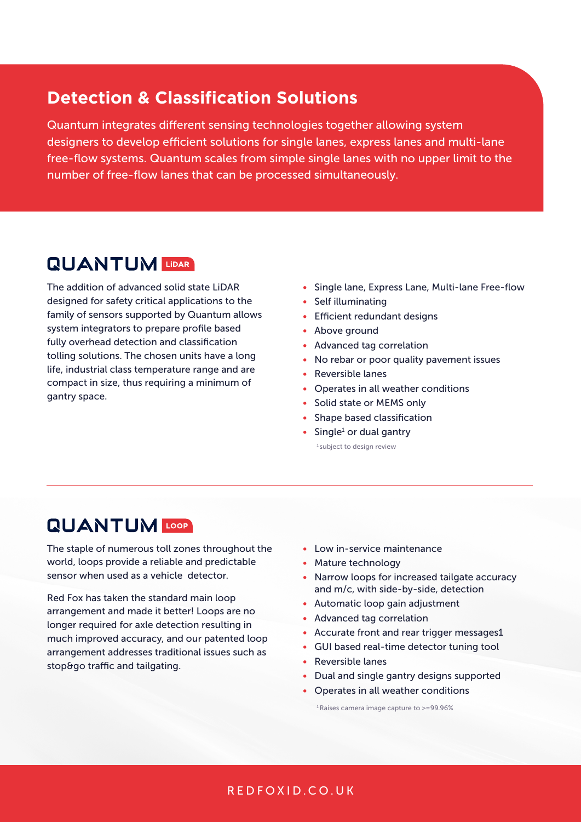## **Detection & Classification Solutions**

Quantum integrates different sensing technologies together allowing system designers to develop efficient solutions for single lanes, express lanes and multi-lane free-flow systems. Quantum scales from simple single lanes with no upper limit to the number of free-flow lanes that can be processed simultaneously.

# **QUANTUM**

The addition of advanced solid state LiDAR designed for safety critical applications to the family of sensors supported by Quantum allows system integrators to prepare profile based fully overhead detection and classification tolling solutions. The chosen units have a long life, industrial class temperature range and are compact in size, thus requiring a minimum of gantry space.

- Single lane, Express Lane, Multi-lane Free-flow
- Self illuminating
- Efficient redundant designs
- Above ground
- Advanced tag correlation
- No rebar or poor quality pavement issues
- Reversible lanes
- Operates in all weather conditions
- Solid state or MEMS only
- Shape based classification
- $\bullet$  Single<sup>1</sup> or dual gantry

<sup>1</sup> subject to design review

# **QUANTUM LOOP**

The staple of numerous toll zones throughout the world, loops provide a reliable and predictable sensor when used as a vehicle detector.

Red Fox has taken the standard main loop arrangement and made it better! Loops are no longer required for axle detection resulting in much improved accuracy, and our patented loop arrangement addresses traditional issues such as stop&go traffic and tailgating.

- Low in-service maintenance
- Mature technology
- Narrow loops for increased tailgate accuracy and m/c, with side-by-side, detection
- Automatic loop gain adjustment
- Advanced tag correlation
- Accurate front and rear trigger messages1
- GUI based real-time detector tuning tool
- Reversible lanes
- Dual and single gantry designs supported
- Operates in all weather conditions

1 Raises camera image capture to >=99.96%

#### REDFOXID.CO.UK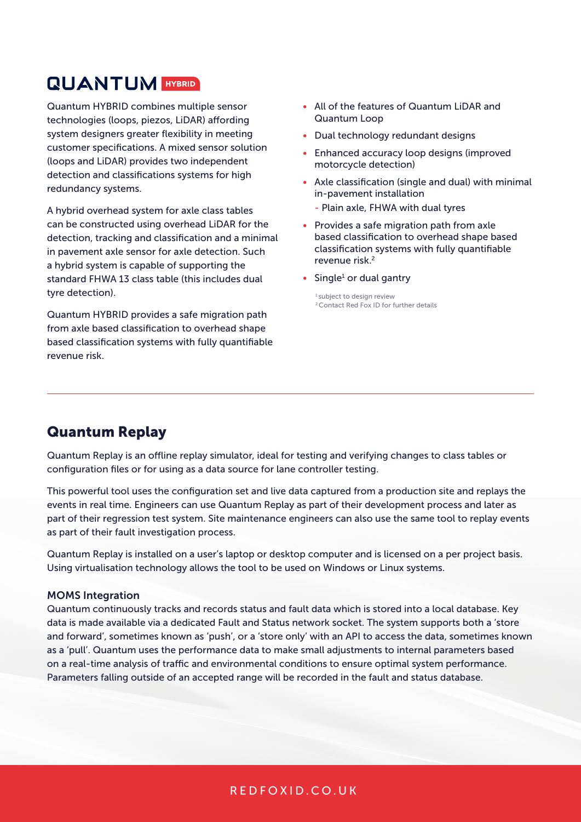# **QUANTUM HYBRID**

Quantum HYBRID combines multiple sensor technologies (loops, piezos, LiDAR) affording system designers greater flexibility in meeting customer specifications. A mixed sensor solution (loops and LiDAR) provides two independent detection and classifications systems for high redundancy systems.

A hybrid overhead system for axle class tables can be constructed using overhead LiDAR for the detection, tracking and classification and a minimal in pavement axle sensor for axle detection. Such a hybrid system is capable of supporting the standard FHWA 13 class table (this includes dual tyre detection).

Quantum HYBRID provides a safe migration path from axle based classification to overhead shape based classification systems with fully quantifiable revenue risk.

- All of the features of Quantum LiDAR and Quantum Loop
- Dual technology redundant designs
- Enhanced accuracy loop designs (improved motorcycle detection)
- Axle classification (single and dual) with minimal in-pavement installation
	- Plain axle, FHWA with dual tyres
- Provides a safe migration path from axle based classification to overhead shape based classification systems with fully quantifiable revenue risk.<sup>2</sup>
- $\bullet$  Single<sup>1</sup> or dual gantry

1 subject to design review 2 Contact Red Fox ID for further details

## Quantum Replay

Quantum Replay is an offline replay simulator, ideal for testing and verifying changes to class tables or configuration files or for using as a data source for lane controller testing.

This powerful tool uses the configuration set and live data captured from a production site and replays the events in real time. Engineers can use Quantum Replay as part of their development process and later as part of their regression test system. Site maintenance engineers can also use the same tool to replay events as part of their fault investigation process.

Quantum Replay is installed on a user's laptop or desktop computer and is licensed on a per project basis. Using virtualisation technology allows the tool to be used on Windows or Linux systems.

#### MOMS Integration

Quantum continuously tracks and records status and fault data which is stored into a local database. Key data is made available via a dedicated Fault and Status network socket. The system supports both a 'store and forward', sometimes known as 'push', or a 'store only' with an API to access the data, sometimes known as a 'pull'. Quantum uses the performance data to make small adjustments to internal parameters based on a real-time analysis of traffic and environmental conditions to ensure optimal system performance. Parameters falling outside of an accepted range will be recorded in the fault and status database.

#### REDFOXID.CO.UK